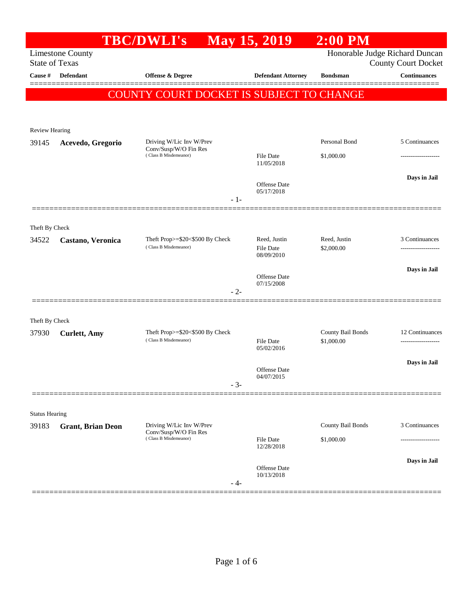|                                                                                                                  |                          | <b>TBC/DWLI's</b>                                        | May 15, 2019                      | $2:00$ PM                  |                                    |
|------------------------------------------------------------------------------------------------------------------|--------------------------|----------------------------------------------------------|-----------------------------------|----------------------------|------------------------------------|
| Honorable Judge Richard Duncan<br><b>Limestone County</b><br><b>State of Texas</b><br><b>County Court Docket</b> |                          |                                                          |                                   |                            |                                    |
| Cause #                                                                                                          | <b>Defendant</b>         | <b>Offense &amp; Degree</b>                              | <b>Defendant Attorney</b>         | <b>Bondsman</b>            | <b>Continuances</b>                |
|                                                                                                                  |                          | COUNTY COURT DOCKET IS SUBJECT TO CHANGE                 |                                   |                            | =======                            |
|                                                                                                                  |                          |                                                          |                                   |                            |                                    |
| <b>Review Hearing</b>                                                                                            |                          |                                                          |                                   |                            |                                    |
| 39145                                                                                                            | Acevedo, Gregorio        | Driving W/Lic Inv W/Prev                                 |                                   | Personal Bond              | 5 Continuances                     |
|                                                                                                                  |                          | Conv/Susp/W/O Fin Res<br>(Class B Misdemeanor)           | File Date<br>11/05/2018           | \$1,000.00                 |                                    |
|                                                                                                                  |                          |                                                          | Offense Date                      |                            | Days in Jail                       |
|                                                                                                                  |                          | $-1-$                                                    | 05/17/2018                        |                            |                                    |
| Theft By Check                                                                                                   |                          |                                                          |                                   |                            |                                    |
| 34522                                                                                                            | Castano, Veronica        | Theft Prop>=\$20<\$500 By Check<br>(Class B Misdemeanor) | Reed, Justin<br>File Date         | Reed, Justin<br>\$2,000.00 | 3 Continuances<br>---------------- |
|                                                                                                                  |                          |                                                          | 08/09/2010                        |                            |                                    |
|                                                                                                                  |                          |                                                          | Offense Date                      |                            | Days in Jail                       |
|                                                                                                                  |                          | $-2-$                                                    | 07/15/2008                        |                            |                                    |
| Theft By Check                                                                                                   |                          |                                                          |                                   |                            |                                    |
| 37930                                                                                                            | <b>Curlett</b> , Amy     | Theft Prop>=\$20<\$500 By Check                          |                                   | County Bail Bonds          | 12 Continuances                    |
|                                                                                                                  |                          | (Class B Misdemeanor)                                    | <b>File Date</b><br>05/02/2016    | \$1,000.00                 | -------------------                |
|                                                                                                                  |                          |                                                          | <b>Offense Date</b>               |                            | Days in Jail                       |
|                                                                                                                  |                          | - 3-                                                     | 04/07/2015                        |                            |                                    |
|                                                                                                                  |                          |                                                          |                                   |                            |                                    |
| <b>Status Hearing</b><br>39183                                                                                   | <b>Grant, Brian Deon</b> | Driving W/Lic Inv W/Prev                                 |                                   | County Bail Bonds          | 3 Continuances                     |
|                                                                                                                  |                          | Conv/Susp/W/O Fin Res<br>(Class B Misdemeanor)           | File Date                         | \$1,000.00                 |                                    |
|                                                                                                                  |                          |                                                          | 12/28/2018                        |                            |                                    |
|                                                                                                                  |                          |                                                          | <b>Offense Date</b><br>10/13/2018 |                            | Days in Jail                       |
|                                                                                                                  |                          | - 4-                                                     |                                   |                            |                                    |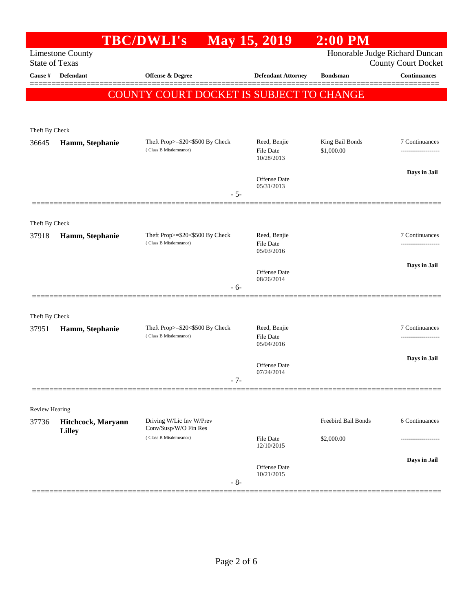|                                                                                                                  |                    | <b>TBC/DWLI's</b>                                        | <b>May 15, 2019</b>               | $2:00$ PM           |                                      |
|------------------------------------------------------------------------------------------------------------------|--------------------|----------------------------------------------------------|-----------------------------------|---------------------|--------------------------------------|
| Honorable Judge Richard Duncan<br><b>Limestone County</b><br><b>State of Texas</b><br><b>County Court Docket</b> |                    |                                                          |                                   |                     |                                      |
| Cause #                                                                                                          | <b>Defendant</b>   | Offense & Degree                                         | <b>Defendant Attorney</b>         | <b>Bondsman</b>     | <b>Continuances</b>                  |
|                                                                                                                  |                    | COUNTY COURT DOCKET IS SUBJECT TO CHANGE                 |                                   |                     |                                      |
|                                                                                                                  |                    |                                                          |                                   |                     |                                      |
| Theft By Check                                                                                                   |                    |                                                          |                                   |                     |                                      |
| 36645                                                                                                            | Hamm, Stephanie    | Theft Prop>=\$20<\$500 By Check<br>(Class B Misdemeanor) | Reed, Benjie                      | King Bail Bonds     | 7 Continuances                       |
|                                                                                                                  |                    |                                                          | File Date<br>10/28/2013           | \$1,000.00          |                                      |
|                                                                                                                  |                    |                                                          | Offense Date                      |                     | Days in Jail                         |
|                                                                                                                  |                    | $-5-$                                                    | 05/31/2013                        |                     |                                      |
|                                                                                                                  |                    |                                                          |                                   |                     |                                      |
| Theft By Check                                                                                                   |                    |                                                          | Reed, Benjie                      |                     | 7 Continuances                       |
| 37918                                                                                                            | Hamm, Stephanie    | Theft Prop>=\$20<\$500 By Check<br>(Class B Misdemeanor) | <b>File Date</b><br>05/03/2016    |                     | .                                    |
|                                                                                                                  |                    |                                                          |                                   |                     | Days in Jail                         |
|                                                                                                                  |                    |                                                          | <b>Offense Date</b><br>08/26/2014 |                     |                                      |
|                                                                                                                  |                    | $-6-$                                                    |                                   |                     |                                      |
| Theft By Check                                                                                                   |                    |                                                          |                                   |                     |                                      |
| 37951                                                                                                            | Hamm, Stephanie    | Theft Prop>=\$20<\$500 By Check<br>(Class B Misdemeanor) | Reed, Benjie<br>File Date         |                     | 7 Continuances<br>------------------ |
|                                                                                                                  |                    |                                                          | 05/04/2016                        |                     |                                      |
|                                                                                                                  |                    |                                                          | Offense Date                      |                     | Days in Jail                         |
|                                                                                                                  |                    | $-7-$                                                    | 07/24/2014                        |                     |                                      |
|                                                                                                                  |                    |                                                          |                                   |                     |                                      |
| Review Hearing<br>37736                                                                                          | Hitchcock, Maryann | Driving W/Lic Inv W/Prev                                 |                                   | Freebird Bail Bonds | 6 Continuances                       |
|                                                                                                                  | <b>Lilley</b>      | Conv/Susp/W/O Fin Res<br>(Class B Misdemeanor)           | <b>File Date</b>                  |                     |                                      |
|                                                                                                                  |                    |                                                          | 12/10/2015                        | \$2,000.00          |                                      |
|                                                                                                                  |                    |                                                          | Offense Date                      |                     | Days in Jail                         |
|                                                                                                                  |                    | $-8-$                                                    | 10/21/2015                        |                     |                                      |
|                                                                                                                  |                    |                                                          |                                   |                     |                                      |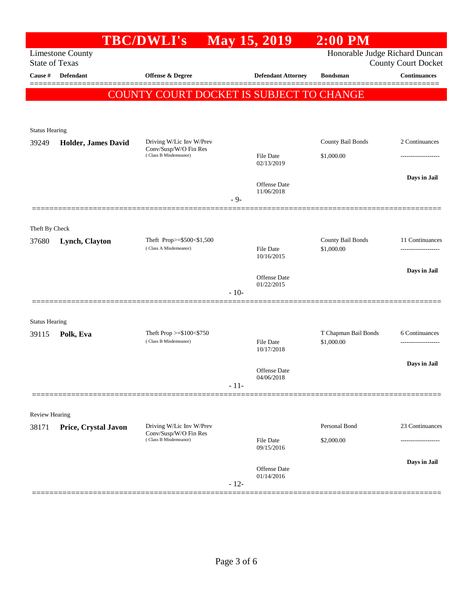|                         |                            | <b>TBC/DWLI's</b>                                   |        | <b>May 15, 2019</b>               | $2:00$ PM                          |                                                          |
|-------------------------|----------------------------|-----------------------------------------------------|--------|-----------------------------------|------------------------------------|----------------------------------------------------------|
| <b>State of Texas</b>   | <b>Limestone County</b>    |                                                     |        |                                   | Honorable Judge Richard Duncan     |                                                          |
| Cause #                 | <b>Defendant</b>           | Offense & Degree                                    |        | <b>Defendant Attorney</b>         | <b>Bondsman</b>                    | <b>County Court Docket</b><br>$\label{1.1}$ Continuances |
|                         |                            |                                                     |        |                                   |                                    |                                                          |
|                         |                            | COUNTY COURT DOCKET IS SUBJECT TO CHANGE            |        |                                   |                                    |                                                          |
|                         |                            |                                                     |        |                                   |                                    |                                                          |
| <b>Status Hearing</b>   |                            |                                                     |        |                                   |                                    |                                                          |
| 39249                   | <b>Holder, James David</b> | Driving W/Lic Inv W/Prev<br>Conv/Susp/W/O Fin Res   |        |                                   | County Bail Bonds                  | 2 Continuances                                           |
|                         |                            | (Class B Misdemeanor)                               |        | <b>File Date</b><br>02/13/2019    | \$1,000.00                         | ----------------                                         |
|                         |                            |                                                     |        |                                   |                                    | Days in Jail                                             |
|                         |                            |                                                     |        | <b>Offense</b> Date<br>11/06/2018 |                                    |                                                          |
|                         |                            |                                                     | $-9-$  |                                   |                                    |                                                          |
|                         |                            |                                                     |        |                                   |                                    |                                                          |
| Theft By Check<br>37680 | Lynch, Clayton             | Theft Prop>=\$500<\$1,500                           |        |                                   | County Bail Bonds                  | 11 Continuances                                          |
|                         |                            | (Class A Misdemeanor)                               |        | <b>File Date</b><br>10/16/2015    | \$1,000.00                         | -------------------                                      |
|                         |                            |                                                     |        |                                   |                                    | Days in Jail                                             |
|                         |                            |                                                     |        | Offense Date<br>01/22/2015        |                                    |                                                          |
|                         |                            |                                                     | $-10-$ |                                   |                                    |                                                          |
|                         |                            |                                                     |        |                                   |                                    |                                                          |
| <b>Status Hearing</b>   |                            |                                                     |        |                                   |                                    |                                                          |
| 39115                   | Polk, Eva                  | Theft Prop $>=\$100<\$750$<br>(Class B Misdemeanor) |        | <b>File Date</b>                  | T Chapman Bail Bonds<br>\$1,000.00 | 6 Continuances                                           |
|                         |                            |                                                     |        | 10/17/2018                        |                                    |                                                          |
|                         |                            |                                                     |        | Offense Date                      |                                    | Days in Jail                                             |
|                         |                            |                                                     | $-11-$ | 04/06/2018                        |                                    |                                                          |
|                         |                            |                                                     |        |                                   |                                    |                                                          |
| Review Hearing          |                            |                                                     |        |                                   |                                    |                                                          |
| 38171                   | Price, Crystal Javon       | Driving W/Lic Inv W/Prev<br>Conv/Susp/W/O Fin Res   |        |                                   | Personal Bond                      | 23 Continuances                                          |
|                         |                            | (Class B Misdemeanor)                               |        | <b>File Date</b><br>09/15/2016    | \$2,000.00                         |                                                          |
|                         |                            |                                                     |        |                                   |                                    | Days in Jail                                             |
|                         |                            |                                                     |        | Offense Date<br>01/14/2016        |                                    |                                                          |
|                         |                            |                                                     | $-12-$ |                                   |                                    |                                                          |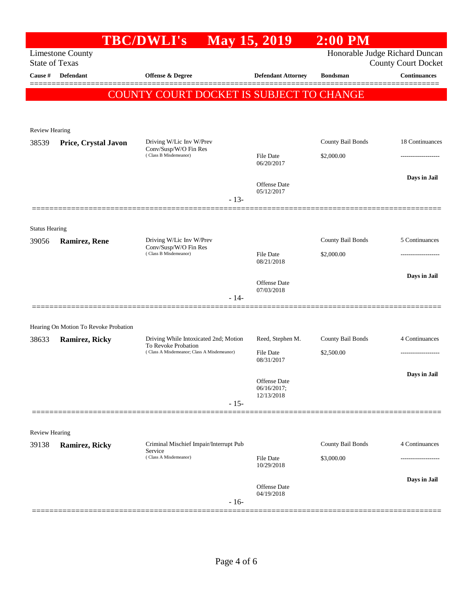|                       |                                                                           | <b>TBC/DWLI's</b>                                                 | <b>May 15, 2019</b>               | $2:00$ PM         |                                                              |
|-----------------------|---------------------------------------------------------------------------|-------------------------------------------------------------------|-----------------------------------|-------------------|--------------------------------------------------------------|
| <b>State of Texas</b> | <b>Limestone County</b>                                                   |                                                                   |                                   |                   | Honorable Judge Richard Duncan<br><b>County Court Docket</b> |
| Cause #               | <b>Defendant</b>                                                          | Offense & Degree                                                  | <b>Defendant Attorney</b>         | <b>Bondsman</b>   | <b>Continuances</b>                                          |
|                       |                                                                           | COUNTY COURT DOCKET IS SUBJECT TO CHANGE                          |                                   |                   |                                                              |
|                       |                                                                           |                                                                   |                                   |                   |                                                              |
| <b>Review Hearing</b> |                                                                           |                                                                   |                                   |                   |                                                              |
| 38539                 | Driving W/Lic Inv W/Prev<br>Price, Crystal Javon<br>Conv/Susp/W/O Fin Res |                                                                   |                                   | County Bail Bonds | 18 Continuances                                              |
|                       |                                                                           | (Class B Misdemeanor)                                             | <b>File Date</b><br>06/20/2017    | \$2,000.00        | ------------------                                           |
|                       |                                                                           | $-13-$                                                            | <b>Offense Date</b><br>05/12/2017 |                   | Days in Jail                                                 |
|                       |                                                                           |                                                                   |                                   |                   |                                                              |
| <b>Status Hearing</b> |                                                                           |                                                                   |                                   |                   |                                                              |
| 39056                 | <b>Ramirez, Rene</b><br>(Class B Misdemeanor)                             | Driving W/Lic Inv W/Prev<br>Conv/Susp/W/O Fin Res                 |                                   | County Bail Bonds | 5 Continuances                                               |
|                       |                                                                           |                                                                   | <b>File Date</b><br>08/21/2018    | \$2,000.00        | ---------------                                              |
|                       |                                                                           |                                                                   |                                   |                   | Days in Jail                                                 |
|                       |                                                                           | $-14-$                                                            | Offense Date<br>07/03/2018        |                   |                                                              |
|                       | Hearing On Motion To Revoke Probation                                     |                                                                   |                                   |                   |                                                              |
| 38633                 | Ramirez, Ricky                                                            | Driving While Intoxicated 2nd; Motion                             | Reed, Stephen M.                  | County Bail Bonds | 4 Continuances                                               |
|                       |                                                                           | To Revoke Probation<br>(Class A Misdemeanor; Class A Misdemeanor) | <b>File Date</b><br>08/31/2017    | \$2,500.00        |                                                              |
|                       |                                                                           |                                                                   | Offense Date                      |                   | Days in Jail                                                 |
|                       |                                                                           |                                                                   | 06/16/2017;<br>12/13/2018         |                   |                                                              |
|                       |                                                                           | $-15-$                                                            |                                   |                   |                                                              |
| <b>Review Hearing</b> |                                                                           |                                                                   |                                   |                   |                                                              |
| 39138                 | <b>Ramirez, Ricky</b>                                                     | Criminal Mischief Impair/Interrupt Pub<br>Service                 |                                   | County Bail Bonds | 4 Continuances                                               |
|                       |                                                                           | (Class A Misdemeanor)                                             | File Date<br>10/29/2018           | \$3,000.00        |                                                              |
|                       |                                                                           |                                                                   |                                   |                   | Days in Jail                                                 |
|                       |                                                                           | $-16-$                                                            | Offense Date<br>04/19/2018        |                   |                                                              |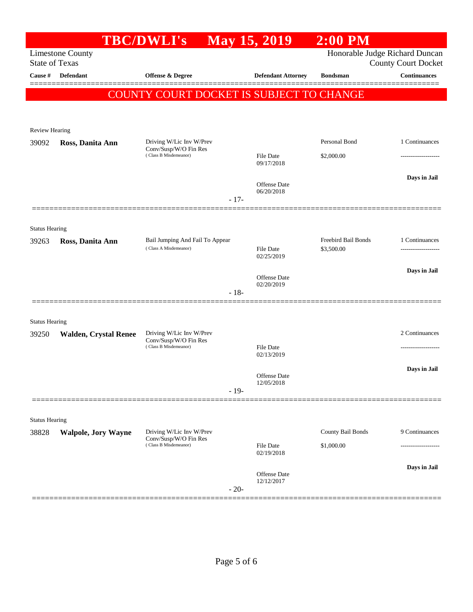|                                                  |                              | <b>TBC/DWLI's</b>                                                          |        | <b>May 15, 2019</b>               | $2:00$ PM                                                    |                     |
|--------------------------------------------------|------------------------------|----------------------------------------------------------------------------|--------|-----------------------------------|--------------------------------------------------------------|---------------------|
| <b>Limestone County</b><br><b>State of Texas</b> |                              |                                                                            |        |                                   | Honorable Judge Richard Duncan<br><b>County Court Docket</b> |                     |
| Cause #                                          | <b>Defendant</b>             | Offense & Degree                                                           |        | <b>Defendant Attorney</b>         | <b>Bondsman</b>                                              | <b>Continuances</b> |
|                                                  |                              | COUNTY COURT DOCKET IS SUBJECT TO CHANGE                                   |        |                                   |                                                              |                     |
|                                                  |                              |                                                                            |        |                                   |                                                              |                     |
| Review Hearing                                   |                              |                                                                            |        |                                   |                                                              |                     |
| 39092                                            | Ross, Danita Ann             | Driving W/Lic Inv W/Prev<br>Conv/Susp/W/O Fin Res<br>(Class B Misdemeanor) |        |                                   | Personal Bond                                                | 1 Continuances      |
|                                                  |                              |                                                                            |        | File Date<br>09/17/2018           | \$2,000.00                                                   |                     |
|                                                  |                              |                                                                            |        | <b>Offense</b> Date<br>06/20/2018 |                                                              | Days in Jail        |
|                                                  |                              |                                                                            | $-17-$ |                                   |                                                              |                     |
|                                                  |                              |                                                                            |        |                                   |                                                              |                     |
| <b>Status Hearing</b><br>39263                   | Ross, Danita Ann             | Bail Jumping And Fail To Appear                                            |        |                                   | Freebird Bail Bonds                                          | 1 Continuances      |
|                                                  |                              | (Class A Misdemeanor)                                                      |        | <b>File Date</b><br>02/25/2019    | \$3,500.00                                                   |                     |
|                                                  |                              |                                                                            |        | Offense Date                      |                                                              | Days in Jail        |
|                                                  |                              |                                                                            | $-18-$ | 02/20/2019                        |                                                              |                     |
|                                                  |                              |                                                                            |        |                                   |                                                              |                     |
| <b>Status Hearing</b><br>39250                   | <b>Walden, Crystal Renee</b> | Driving W/Lic Inv W/Prev                                                   |        |                                   |                                                              | 2 Continuances      |
|                                                  |                              | Conv/Susp/W/O Fin Res<br>(Class B Misdemeanor)                             |        | File Date                         |                                                              |                     |
|                                                  |                              |                                                                            |        | 02/13/2019                        |                                                              |                     |
|                                                  |                              |                                                                            |        | Offense Date<br>12/05/2018        |                                                              | Days in Jail        |
|                                                  |                              |                                                                            | $-19-$ |                                   |                                                              |                     |
| <b>Status Hearing</b>                            |                              |                                                                            |        |                                   |                                                              |                     |
| 38828                                            | <b>Walpole, Jory Wayne</b>   | Driving W/Lic Inv W/Prev<br>Conv/Susp/W/O Fin Res                          |        |                                   | County Bail Bonds                                            | 9 Continuances      |
|                                                  |                              | (Class B Misdemeanor)                                                      |        | File Date<br>02/19/2018           | \$1,000.00                                                   |                     |
|                                                  |                              |                                                                            |        | <b>Offense Date</b>               |                                                              | Days in Jail        |
|                                                  |                              |                                                                            | $-20-$ | 12/12/2017                        |                                                              |                     |